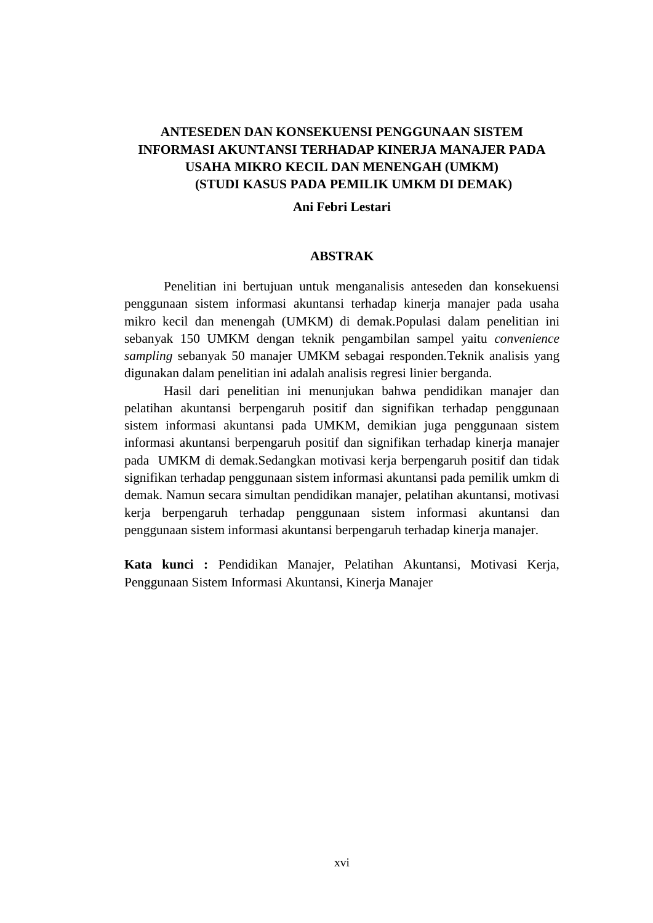# **ANTESEDEN DAN KONSEKUENSI PENGGUNAAN SISTEM INFORMASI AKUNTANSI TERHADAP KINERJA MANAJER PADA USAHA MIKRO KECIL DAN MENENGAH (UMKM) (STUDI KASUS PADA PEMILIK UMKM DI DEMAK)**

## **Ani Febri Lestari**

### **ABSTRAK**

Penelitian ini bertujuan untuk menganalisis anteseden dan konsekuensi penggunaan sistem informasi akuntansi terhadap kinerja manajer pada usaha mikro kecil dan menengah (UMKM) di demak.Populasi dalam penelitian ini sebanyak 150 UMKM dengan teknik pengambilan sampel yaitu *convenience sampling* sebanyak 50 manajer UMKM sebagai responden.Teknik analisis yang digunakan dalam penelitian ini adalah analisis regresi linier berganda.

Hasil dari penelitian ini menunjukan bahwa pendidikan manajer dan pelatihan akuntansi berpengaruh positif dan signifikan terhadap penggunaan sistem informasi akuntansi pada UMKM, demikian juga penggunaan sistem informasi akuntansi berpengaruh positif dan signifikan terhadap kinerja manajer pada UMKM di demak.Sedangkan motivasi kerja berpengaruh positif dan tidak signifikan terhadap penggunaan sistem informasi akuntansi pada pemilik umkm di demak. Namun secara simultan pendidikan manajer, pelatihan akuntansi, motivasi kerja berpengaruh terhadap penggunaan sistem informasi akuntansi dan penggunaan sistem informasi akuntansi berpengaruh terhadap kinerja manajer.

**Kata kunci :** Pendidikan Manajer, Pelatihan Akuntansi, Motivasi Kerja, Penggunaan Sistem Informasi Akuntansi, Kinerja Manajer